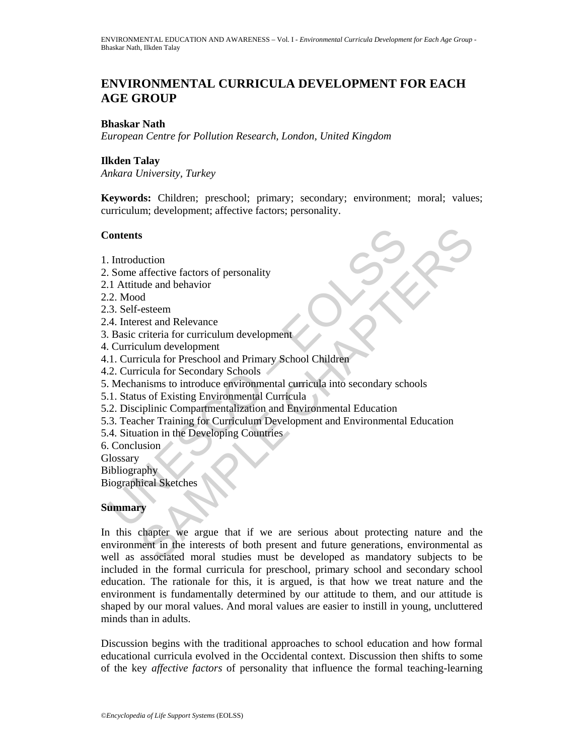# **ENVIRONMENTAL CURRICULA DEVELOPMENT FOR EACH AGE GROUP**

## **Bhaskar Nath**

*European Centre for Pollution Research, London, United Kingdom*

## **Ilkden Talay**

*Ankara University, Turkey* 

**Keywords:** Children; preschool; primary; secondary; environment; moral; values; curriculum; development; affective factors; personality.

## **Contents**

- 1. Introduction
- 2. Some affective factors of personality
- 2.1 Attitude and behavior
- 2.2. Mood
- 2.3. Self-esteem
- 2.4. Interest and Relevance
- 3. Basic criteria for curriculum development
- 4. Curriculum development
- 4.1. Curricula for Preschool and Primary School Children
- 4.2. Curricula for Secondary Schools
- Contents<br>
Contents<br>
2. Introduction<br>
1. Attitude and behavior<br>
1. Attitude and behavior<br>
2. Mood<br>
3. Self-esteem<br>
4. Interest and Relevance<br>
Basic criteria for curriculum development<br>
1. Curricula for Preschool and Primary 5. Mechanisms to introduce environmental curricula into secondary schools
- 5.1. Status of Existing Environmental Curricula
- 5.2. Disciplinic Compartmentalization and Environmental Education
- 5.3. Teacher Training for Curriculum Development and Environmental Education
- 5.4. Situation in the Developing Countries
- 6. Conclusion
- **Glossary**

Bibliography

Biographical Sketches

## **Summary**

S<br>
Suction<br>
diffective factors of personality<br>
de and behavior<br>
desteem<br>
esteem<br>
esteem<br>
esteem<br>
ulum development<br>
ulum development<br>
ulum development<br>
icula for Preschool and Primary School Children<br>
icula for Secondary Sc In this chapter we argue that if we are serious about protecting nature and the environment in the interests of both present and future generations, environmental as well as associated moral studies must be developed as mandatory subjects to be included in the formal curricula for preschool, primary school and secondary school education. The rationale for this, it is argued, is that how we treat nature and the environment is fundamentally determined by our attitude to them, and our attitude is shaped by our moral values. And moral values are easier to instill in young, uncluttered minds than in adults.

Discussion begins with the traditional approaches to school education and how formal educational curricula evolved in the Occidental context. Discussion then shifts to some of the key *affective factors* of personality that influence the formal teaching-learning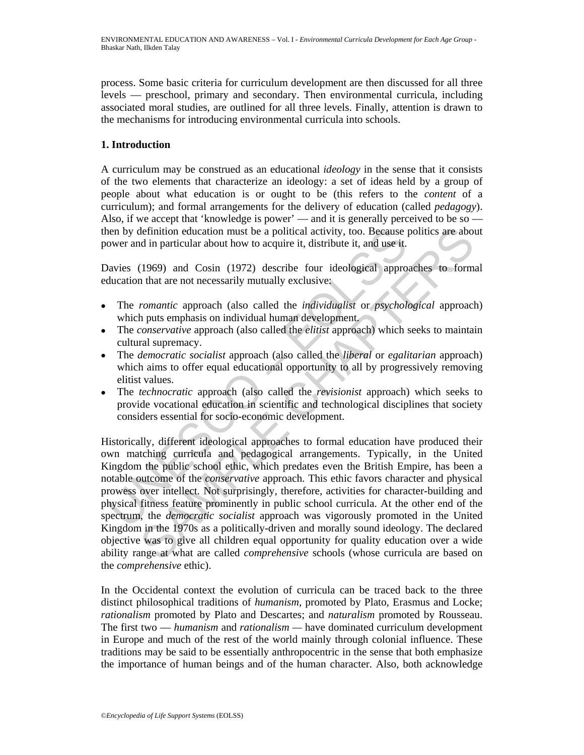process. Some basic criteria for curriculum development are then discussed for all three levels — preschool, primary and secondary. Then environmental curricula, including associated moral studies, are outlined for all three levels. Finally, attention is drawn to the mechanisms for introducing environmental curricula into schools.

## **1. Introduction**

A curriculum may be construed as an educational *ideology* in the sense that it consists of the two elements that characterize an ideology: a set of ideas held by a group of people about what education is or ought to be (this refers to the *content* of a curriculum); and formal arrangements for the delivery of education (called *pedagogy*). Also, if we accept that 'knowledge is power' — and it is generally perceived to be so then by definition education must be a political activity, too. Because politics are about power and in particular about how to acquire it, distribute it, and use it.

Davies (1969) and Cosin (1972) describe four ideological approaches to formal education that are not necessarily mutually exclusive:

- The *romantic* approach (also called the *individualist* or *psychological* approach) which puts emphasis on individual human development.
- The *conservative* approach (also called the *elitist* approach) which seeks to maintain cultural supremacy.
- The *democratic socialist* approach (also called the *liberal* or *egalitarian* approach) which aims to offer equal educational opportunity to all by progressively removing elitist values.
- The *technocratic* approach (also called the *revisionist* approach) which seeks to provide vocational education in scientific and technological disciplines that society considers essential for socio-economic development.

ien by definition education must be a political activity, too. Because jower and in particular about how to acquire it, distribute it, and use it.<br>avies (1969) and Cosin (1972) describe four ideological approducation that definition education must be a political activity, too. Because politics are abot<br>d in particular about how to acquire it, distribute it, and use it.<br>(1969) and Cosin (1972) describe four ideological approaches to form<br>in Historically, different ideological approaches to formal education have produced their own matching curricula and pedagogical arrangements. Typically, in the United Kingdom the public school ethic, which predates even the British Empire, has been a notable outcome of the *conservative* approach. This ethic favors character and physical prowess over intellect. Not surprisingly, therefore, activities for character-building and physical fitness feature prominently in public school curricula. At the other end of the spectrum, the *democratic socialist* approach was vigorously promoted in the United Kingdom in the 1970s as a politically-driven and morally sound ideology. The declared objective was to give all children equal opportunity for quality education over a wide ability range at what are called *comprehensive* schools (whose curricula are based on the *comprehensive* ethic).

In the Occidental context the evolution of curricula can be traced back to the three distinct philosophical traditions of *humanism,* promoted by Plato, Erasmus and Locke; *rationalism* promoted by Plato and Descartes; and *naturalism* promoted by Rousseau. The first two — *humanism* and *rationalism —* have dominated curriculum development in Europe and much of the rest of the world mainly through colonial influence. These traditions may be said to be essentially anthropocentric in the sense that both emphasize the importance of human beings and of the human character. Also, both acknowledge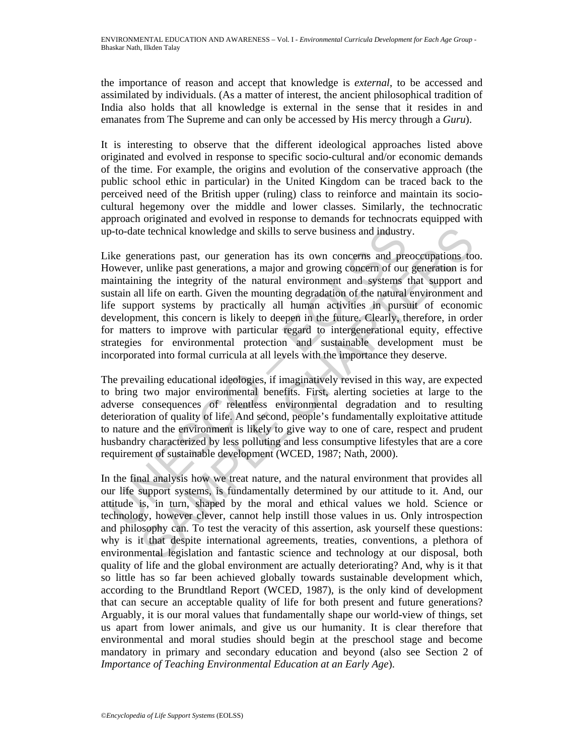the importance of reason and accept that knowledge is *external*, to be accessed and assimilated by individuals. (As a matter of interest, the ancient philosophical tradition of India also holds that all knowledge is external in the sense that it resides in and emanates from The Supreme and can only be accessed by His mercy through a *Guru*).

It is interesting to observe that the different ideological approaches listed above originated and evolved in response to specific socio-cultural and/or economic demands of the time. For example, the origins and evolution of the conservative approach (the public school ethic in particular) in the United Kingdom can be traced back to the perceived need of the British upper (ruling) class to reinforce and maintain its sociocultural hegemony over the middle and lower classes. Similarly, the technocratic approach originated and evolved in response to demands for technocrats equipped with up-to-date technical knowledge and skills to serve business and industry.

p-to-date technical knowledge and skills to serve business and industry<br>ike generations past, our generation has its own concerns and pro<br>lowever, unlike past generations, a major and growing concern of our<br>aintaining the ic technical knowledge and skills to serve business and industry.<br>
nerations past, our generation has its own concerns and preoccupations to,<br>
i., unlike past generations, a major and growing concern of our generation is f Like generations past, our generation has its own concerns and preoccupations too. However, unlike past generations, a major and growing concern of our generation is for maintaining the integrity of the natural environment and systems that support and sustain all life on earth. Given the mounting degradation of the natural environment and life support systems by practically all human activities in pursuit of economic development, this concern is likely to deepen in the future. Clearly, therefore, in order for matters to improve with particular regard to intergenerational equity, effective strategies for environmental protection and sustainable development must be incorporated into formal curricula at all levels with the importance they deserve.

The prevailing educational ideologies, if imaginatively revised in this way, are expected to bring two major environmental benefits. First, alerting societies at large to the adverse consequences of relentless environmental degradation and to resulting deterioration of quality of life. And second, people's fundamentally exploitative attitude to nature and the environment is likely to give way to one of care, respect and prudent husbandry characterized by less polluting and less consumptive lifestyles that are a core requirement of sustainable development (WCED, 1987; Nath, 2000).

In the final analysis how we treat nature, and the natural environment that provides all our life support systems, is fundamentally determined by our attitude to it. And, our attitude is, in turn, shaped by the moral and ethical values we hold. Science or technology, however clever, cannot help instill those values in us. Only introspection and philosophy can. To test the veracity of this assertion, ask yourself these questions: why is it that despite international agreements, treaties, conventions, a plethora of environmental legislation and fantastic science and technology at our disposal, both quality of life and the global environment are actually deteriorating? And, why is it that so little has so far been achieved globally towards sustainable development which, according to the Brundtland Report (WCED, 1987), is the only kind of development that can secure an acceptable quality of life for both present and future generations? Arguably, it is our moral values that fundamentally shape our world-view of things, set us apart from lower animals, and give us our humanity. It is clear therefore that environmental and moral studies should begin at the preschool stage and become mandatory in primary and secondary education and beyond (also see Section 2 of *Importance of Teaching Environmental Education at an Early Age*).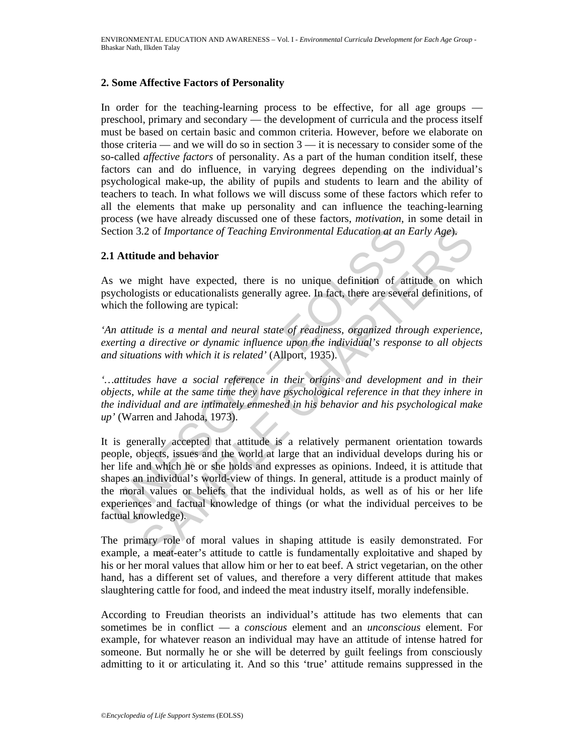## **2. Some Affective Factors of Personality**

In order for the teaching-learning process to be effective, for all age groups preschool, primary and secondary — the development of curricula and the process itself must be based on certain basic and common criteria. However, before we elaborate on those criteria — and we will do so in section  $3$  — it is necessary to consider some of the so-called *affective factors* of personality. As a part of the human condition itself, these factors can and do influence, in varying degrees depending on the individual's psychological make-up, the ability of pupils and students to learn and the ability of teachers to teach. In what follows we will discuss some of these factors which refer to all the elements that make up personality and can influence the teaching-learning process (we have already discussed one of these factors, *motivation*, in some detail in Section 3.2 of *Importance of Teaching Environmental Education at an Early Age*).

## **2.1 Attitude and behavior**

As we might have expected, there is no unique definition of attitude on which psychologists or educationalists generally agree. In fact, there are several definitions, of which the following are typical:

*'An attitude is a mental and neural state of readiness, organized through experience, exerting a directive or dynamic influence upon the individual's response to all objects and situations with which it is related'* (Allport, 1935).

*'…attitudes have a social reference in their origins and development and in their objects, while at the same time they have psychological reference in that they inhere in the individual and are intimately enmeshed in his behavior and his psychological make up'* (Warren and Jahoda, 1973).

ection 3.2 of *Importance of Teaching Environmental Education at an*<br>
1. **Attitude and behavior**<br>
1. **Attitude and behavior**<br>
1. **Attitude and behavior**<br>
1. **Attitude and behavior**<br>
2. **In fact, there are severally are exp** 3.2 of *Importance of Teaching Environmental Education at an Early Age*).<br> **ude and behavior**<br>
might have expected, there is no unique definition of attitude on whice<br>
gists or educationalists generally agree. In fact, the It is generally accepted that attitude is a relatively permanent orientation towards people, objects, issues and the world at large that an individual develops during his or her life and which he or she holds and expresses as opinions. Indeed, it is attitude that shapes an individual's world-view of things. In general, attitude is a product mainly of the moral values or beliefs that the individual holds, as well as of his or her life experiences and factual knowledge of things (or what the individual perceives to be factual knowledge).

The primary role of moral values in shaping attitude is easily demonstrated. For example, a meat-eater's attitude to cattle is fundamentally exploitative and shaped by his or her moral values that allow him or her to eat beef. A strict vegetarian, on the other hand, has a different set of values, and therefore a very different attitude that makes slaughtering cattle for food, and indeed the meat industry itself, morally indefensible.

According to Freudian theorists an individual's attitude has two elements that can sometimes be in conflict — a *conscious* element and an *unconscious* element. For example, for whatever reason an individual may have an attitude of intense hatred for someone. But normally he or she will be deterred by guilt feelings from consciously admitting to it or articulating it. And so this 'true' attitude remains suppressed in the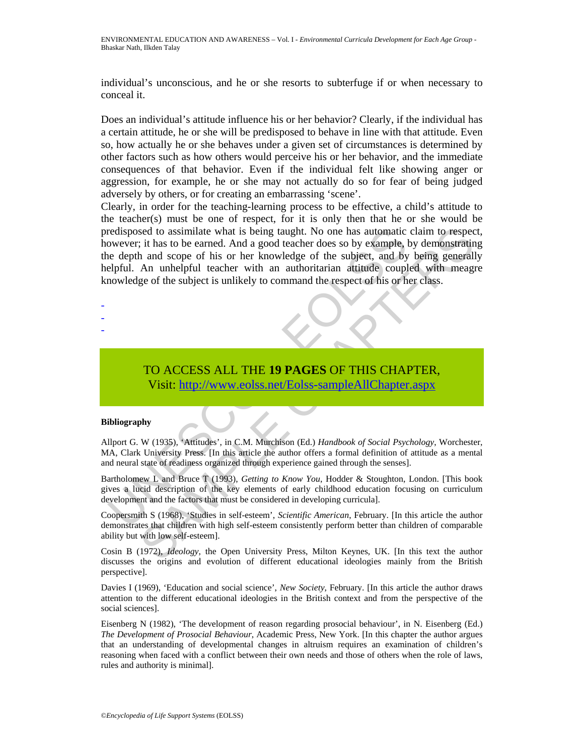individual's unconscious, and he or she resorts to subterfuge if or when necessary to conceal it.

Does an individual's attitude influence his or her behavior? Clearly, if the individual has a certain attitude, he or she will be predisposed to behave in line with that attitude. Even so, how actually he or she behaves under a given set of circumstances is determined by other factors such as how others would perceive his or her behavior, and the immediate consequences of that behavior. Even if the individual felt like showing anger or aggression, for example, he or she may not actually do so for fear of being judged adversely by others, or for creating an embarrassing 'scene'.

redisposed to assimilate what is being taught. No one has automatic<br>owever; it has to be carned. And a good teacher does so by example,<br>be depth and scope of his or her knowledge of the subject, and by<br>elpful. An unhelpful Set to assimilate what is being taught. No one has automatic claim to respect<br>
it has to be carned. And a good teacher does so by example, by demonstration<br>
and scope of his or her knowledge of the subject, and by being ge Clearly, in order for the teaching-learning process to be effective, a child's attitude to the teacher(s) must be one of respect, for it is only then that he or she would be predisposed to assimilate what is being taught. No one has automatic claim to respect, however; it has to be earned. And a good teacher does so by example, by demonstrating the depth and scope of his or her knowledge of the subject, and by being generally helpful. An unhelpful teacher with an authoritarian attitude coupled with meagre knowledge of the subject is unlikely to command the respect of his or her class.

TO ACCESS ALL THE **19 PAGES** OF THIS CHAPTER, Visit: http://www.eolss.net/Eolss-sampleAllChapter.aspx

### **Bibliography**

- - -

Allport G. W (1935), 'Attitudes', in C.M. Murchison (Ed.) *Handbook of Social Psychology*, Worchester, MA, Clark University Press. [In this article the author offers a formal definition of attitude as a mental and neural state of readiness organized through experience gained through the senses].

Bartholomew L and Bruce T (1993), *Getting to Know You*, Hodder & Stoughton, London. [This book gives a lucid description of the key elements of early childhood education focusing on curriculum development and the factors that must be considered in developing curricula].

Coopersmith S (1968), 'Studies in self-esteem', *Scientific American*, February. [In this article the author demonstrates that children with high self-esteem consistently perform better than children of comparable ability but with low self-esteem].

Cosin B (1972), *Ideology*, the Open University Press, Milton Keynes, UK. [In this text the author discusses the origins and evolution of different educational ideologies mainly from the British perspective].

Davies I (1969), 'Education and social science', *New Society*, February. [In this article the author draws attention to the different educational ideologies in the British context and from the perspective of the social sciences].

Eisenberg N (1982), 'The development of reason regarding prosocial behaviour', in N. Eisenberg (Ed.) *The Development of Prosocial Behaviour*, Academic Press, New York. [In this chapter the author argues that an understanding of developmental changes in altruism requires an examination of children's reasoning when faced with a conflict between their own needs and those of others when the role of laws, rules and authority is minimal].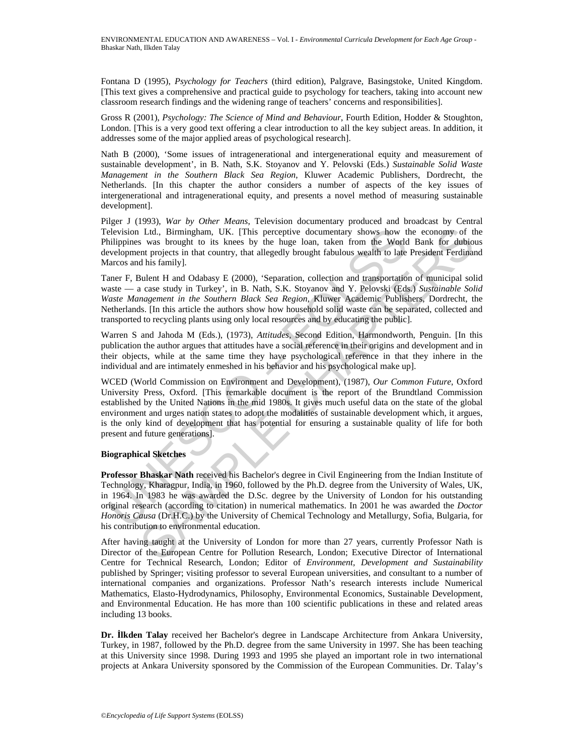Fontana D (1995), *Psychology for Teachers* (third edition), Palgrave, Basingstoke, United Kingdom. [This text gives a comprehensive and practical guide to psychology for teachers, taking into account new classroom research findings and the widening range of teachers' concerns and responsibilities].

Gross R (2001), *Psychology: The Science of Mind and Behaviour*, Fourth Edition, Hodder & Stoughton, London. [This is a very good text offering a clear introduction to all the key subject areas. In addition, it addresses some of the major applied areas of psychological research].

Nath B (2000), 'Some issues of intragenerational and intergenerational equity and measurement of sustainable development', in B. Nath, S.K. Stoyanov and Y. Pelovski (Eds.) *Sustainable Solid Waste Management in the Southern Black Sea Region*, Kluwer Academic Publishers, Dordrecht, the Netherlands. [In this chapter the author considers a number of aspects of the key issues of intergenerational and intragenerational equity, and presents a novel method of measuring sustainable development].

Pilger J (1993), *War by Other Means*, Television documentary produced and broadcast by Central Television Ltd., Birmingham, UK. [This perceptive documentary shows how the economy of the Philippines was brought to its knees by the huge loan, taken from the World Bank for dubious development projects in that country, that allegedly brought fabulous wealth to late President Ferdinand Marcos and his family].

Taner F, Bulent H and Odabasy E (2000), 'Separation, collection and transportation of municipal solid waste — a case study in Turkey', in B. Nath, S.K. Stoyanov and Y. Pelovski (Eds.) *Sustainable Solid Waste Management in the Southern Black Sea Region*, Kluwer Academic Publishers, Dordrecht, the Netherlands. [In this article the authors show how household solid waste can be separated, collected and transported to recycling plants using only local resources and by educating the public].

Warren S and Jahoda M (Eds.), (1973), *Attitudes,* Second Edition, Harmondworth, Penguin. [In this publication the author argues that attitudes have a social reference in their origins and development and in their objects, while at the same time they have psychological reference in that they inhere in the individual and are intimately enmeshed in his behavior and his psychological make up].

elevision Ltd., Birmingham, UK. [This perceptive documentary shows how the proposition is was brought to its knees by the huge loan, taken from the Wordly<br>evelopment projects in that country, that allegedly brought fabluos Ltd., Birmingham, UK. [This perceptive documentary shows how the economy of the was browght to its kneas by the huge loan, taken from the World Bank for durbin and weak was browght to its kneas by the huge loan, taken fro WCED (World Commission on Environment and Development), (1987), *Our Common Future*, Oxford University Press, Oxford. [This remarkable document is the report of the Brundtland Commission established by the United Nations in the mid 1980s. It gives much useful data on the state of the global environment and urges nation states to adopt the modalities of sustainable development which, it argues, is the only kind of development that has potential for ensuring a sustainable quality of life for both present and future generations].

### **Biographical Sketches**

**Professor Bhaskar Nath** received his Bachelor's degree in Civil Engineering from the Indian Institute of Technology, Kharagpur, India, in 1960, followed by the Ph.D. degree from the University of Wales, UK, in 1964. In 1983 he was awarded the D.Sc. degree by the University of London for his outstanding original research (according to citation) in numerical mathematics. In 2001 he was awarded the *Doctor Honoris Causa* (Dr.H.C.) by the University of Chemical Technology and Metallurgy, Sofia, Bulgaria, for his contribution to environmental education.

After having taught at the University of London for more than 27 years, currently Professor Nath is Director of the European Centre for Pollution Research, London; Executive Director of International Centre for Technical Research, London; Editor of *Environment, Development and Sustainability* published by Springer; visiting professor to several European universities, and consultant to a number of international companies and organizations. Professor Nath's research interests include Numerical Mathematics, Elasto-Hydrodynamics, Philosophy, Environmental Economics, Sustainable Development, and Environmental Education. He has more than 100 scientific publications in these and related areas including 13 books.

**Dr. İlkden Talay** received her Bachelor's degree in Landscape Architecture from Ankara University, Turkey, in 1987, followed by the Ph.D. degree from the same University in 1997. She has been teaching at this University since 1998. During 1993 and 1995 she played an important role in two international projects at Ankara University sponsored by the Commission of the European Communities. Dr. Talay's